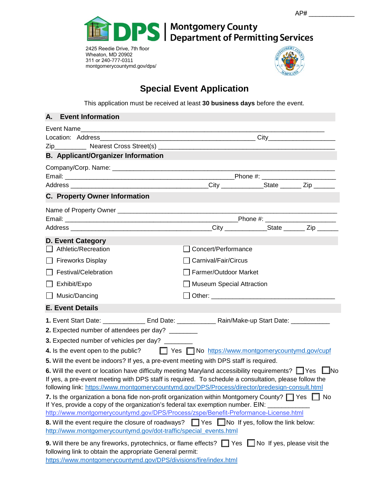



2425 Reedie Drive, 7th floor Wheaton, MD 20902 311 or 240-777-0311 [montgomerycountymd.gov/](http://www.montgomerycountymd.gov/permittingservices)dps/



## **Special Event Application**

This application must be received at least **30 business days** before the event.

| <b>Event Information</b><br>А.                                    |                                                                                                                                                                                                                                                                                                                            |  |
|-------------------------------------------------------------------|----------------------------------------------------------------------------------------------------------------------------------------------------------------------------------------------------------------------------------------------------------------------------------------------------------------------------|--|
|                                                                   |                                                                                                                                                                                                                                                                                                                            |  |
|                                                                   |                                                                                                                                                                                                                                                                                                                            |  |
| <b>B.</b> Applicant/Organizer Information                         |                                                                                                                                                                                                                                                                                                                            |  |
|                                                                   |                                                                                                                                                                                                                                                                                                                            |  |
|                                                                   |                                                                                                                                                                                                                                                                                                                            |  |
|                                                                   |                                                                                                                                                                                                                                                                                                                            |  |
| <b>C. Property Owner Information</b>                              |                                                                                                                                                                                                                                                                                                                            |  |
|                                                                   |                                                                                                                                                                                                                                                                                                                            |  |
|                                                                   |                                                                                                                                                                                                                                                                                                                            |  |
|                                                                   |                                                                                                                                                                                                                                                                                                                            |  |
| <b>D. Event Category</b>                                          |                                                                                                                                                                                                                                                                                                                            |  |
| Athletic/Recreation                                               | Concert/Performance                                                                                                                                                                                                                                                                                                        |  |
| <b>Fireworks Display</b>                                          | Carnival/Fair/Circus                                                                                                                                                                                                                                                                                                       |  |
| Festival/Celebration                                              | □ Farmer/Outdoor Market                                                                                                                                                                                                                                                                                                    |  |
| Exhibit/Expo                                                      | □ Museum Special Attraction                                                                                                                                                                                                                                                                                                |  |
| Music/Dancing                                                     | Other: the contract of the contract of the contract of the contract of the contract of the contract of the contract of the contract of the contract of the contract of the contract of the contract of the contract of the con                                                                                             |  |
| <b>E. Event Details</b>                                           |                                                                                                                                                                                                                                                                                                                            |  |
|                                                                   | 1. Event Start Date: _______________ End Date: ________________ Rain/Make-up Start Date: ___________                                                                                                                                                                                                                       |  |
| 2. Expected number of attendees per day? ________                 |                                                                                                                                                                                                                                                                                                                            |  |
| 3. Expected number of vehicles per day? ________                  |                                                                                                                                                                                                                                                                                                                            |  |
| 4. Is the event open to the public?                               | ■ Yes ■ No https://www.montgomerycountymd.gov/cupf                                                                                                                                                                                                                                                                         |  |
|                                                                   | 5. Will the event be indoors? If yes, a pre-event meeting with DPS staff is required.                                                                                                                                                                                                                                      |  |
|                                                                   | 6. Will the event or location have difficulty meeting Maryland accessibility requirements? $\Box$ Yes $\Box$ No<br>If yes, a pre-event meeting with DPS staff is required. To schedule a consultation, please follow the<br>following link: https://www.montgomerycountymd.gov/DPS/Process/director/predesign-consult.html |  |
|                                                                   | 7. Is the organization a bona fide non-profit organization within Montgomery County? $\Box$ Yes $\Box$ No<br>If Yes, provide a copy of the organization's federal tax exemption number. EIN:<br>http://www.montgomerycountymd.gov/DPS/Process/zspe/Benefit-Preformance-License.html                                        |  |
| http://www.montgomerycountymd.gov/dot-traffic/special_events.html | 8. Will the event require the closure of roadways? The Sambold States, follow the link below:                                                                                                                                                                                                                              |  |
| following link to obtain the appropriate General permit:          | 9. Will there be any fireworks, pyrotechnics, or flame effects? The Yes No If yes, please visit the                                                                                                                                                                                                                        |  |
| https://www.montgomerycountymd.gov/DPS/divisions/fire/index.html  |                                                                                                                                                                                                                                                                                                                            |  |